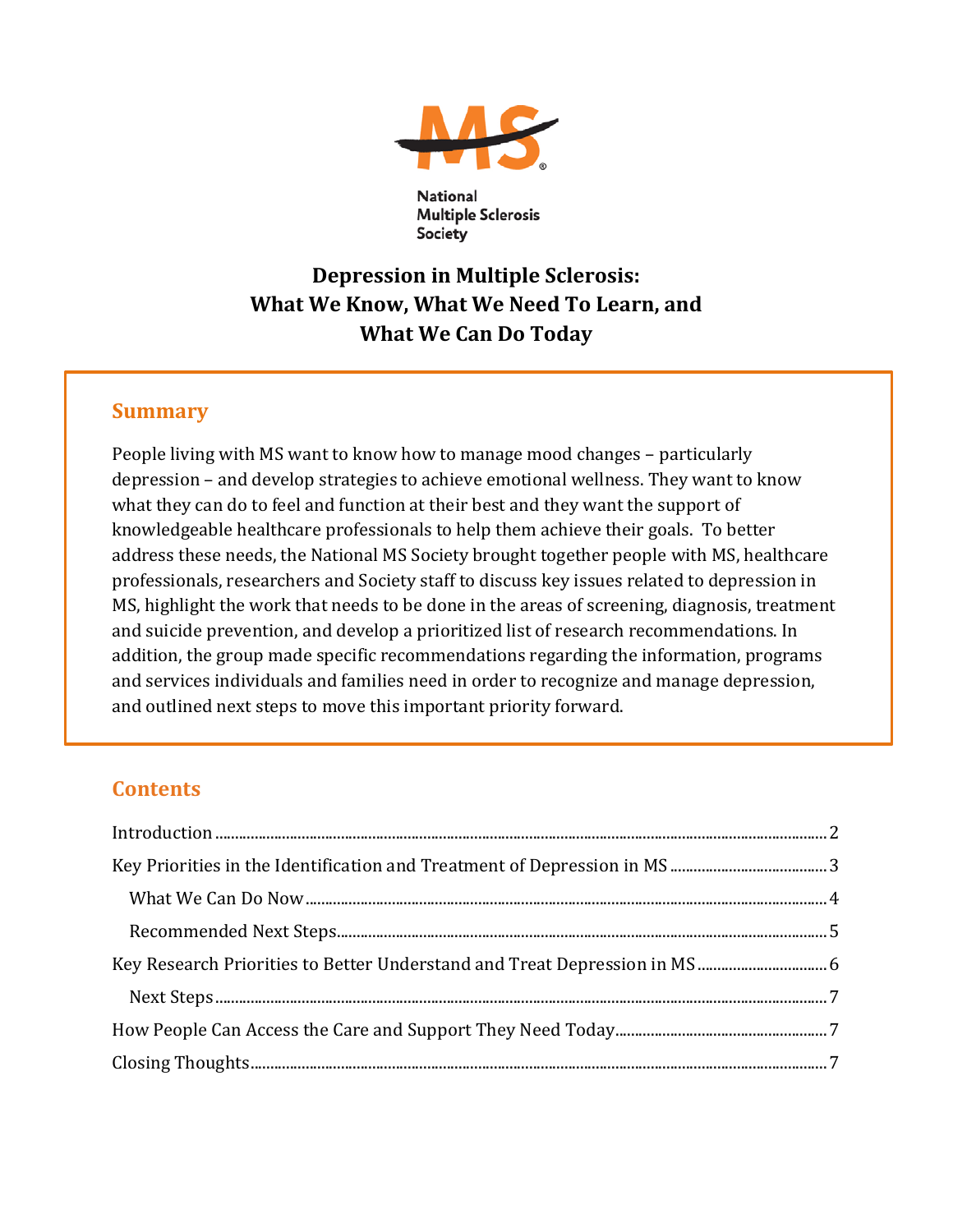

**Multiple Sclerosis** Society

# **Depression in Multiple Sclerosis: What We Know, What We Need To Learn, and What We Can Do Today**

### **Summary**

People living with MS want to know how to manage mood changes – particularly depression – and develop strategies to achieve emotional wellness. They want to know what they can do to feel and function at their best and they want the support of knowledgeable healthcare professionals to help them achieve their goals. To better address these needs, the National MS Society brought together people with MS, healthcare professionals, researchers and Society staff to discuss key issues related to depression in MS, highlight the work that needs to be done in the areas of screening, diagnosis, treatment and suicide prevention, and develop a prioritized list of research recommendations. In addition, the group made specific recommendations regarding the information, programs and services individuals and families need in order to recognize and manage depression, and outlined next steps to move this important priority forward.

## **Contents**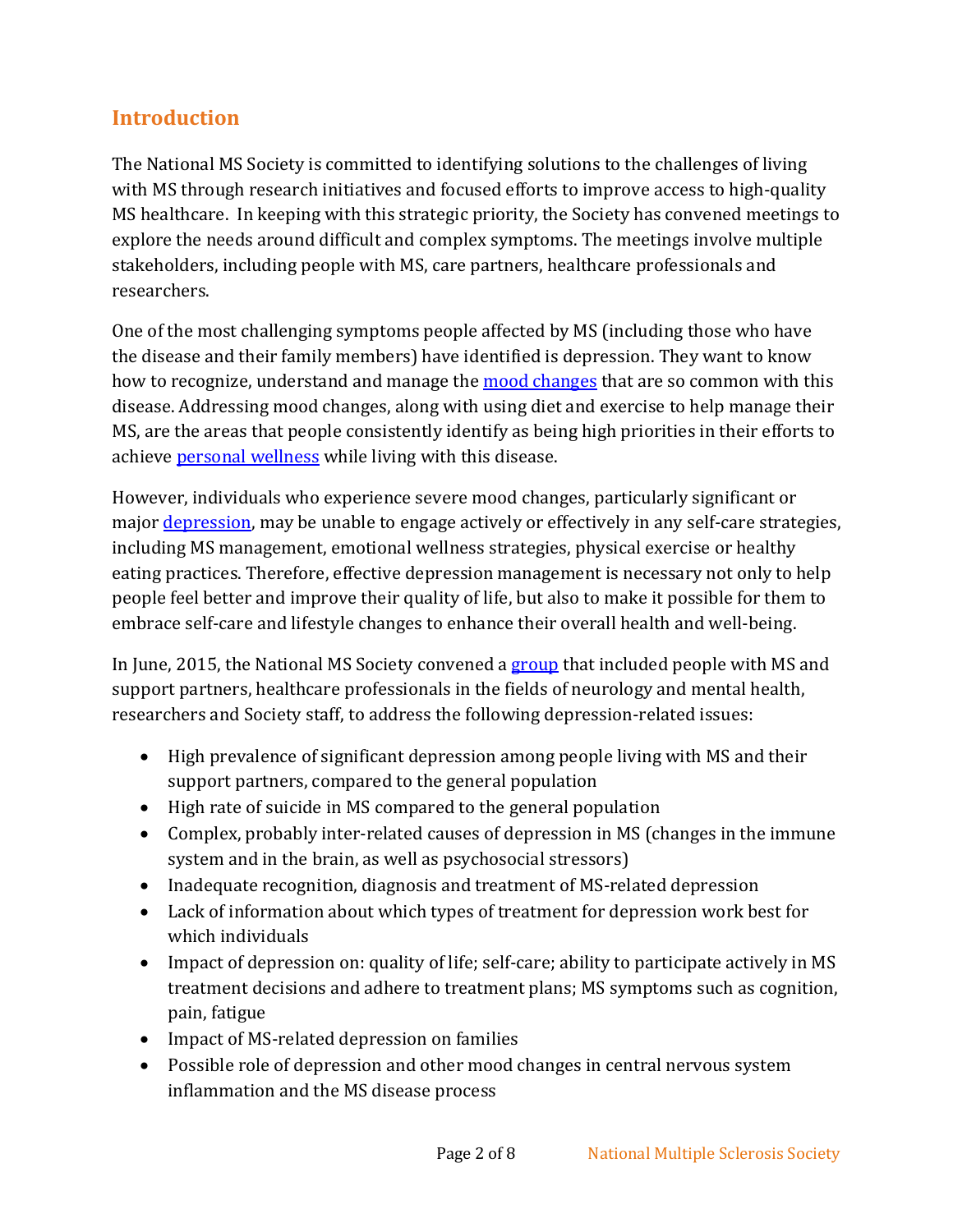## <span id="page-1-0"></span>**Introduction**

The National MS Society is committed to identifying solutions to the challenges of living with MS through research initiatives and focused efforts to improve access to high-quality MS healthcare. In keeping with this strategic priority, the Society has convened meetings to explore the needs around difficult and complex symptoms. The meetings involve multiple stakeholders, including people with MS, care partners, healthcare professionals and researchers.

One of the most challenging symptoms people affected by MS (including those who have the disease and their family members) have identified is depression. They want to know how to recognize, understand and manage the **mood changes** that are so common with this disease. Addressing mood changes, along with using diet and exercise to help manage their MS, are the areas that people consistently identify as being high priorities in their efforts to achieve [personal wellness](http://www.nationalmssociety.org/NationalMSSociety/media/MSNationalFiles/Brochures/WellnessMSSocietyforPeoplewMS.pdf) while living with this disease.

However, individuals who experience severe mood changes, particularly significant or major [depression,](http://www.nationalmssociety.org/Symptoms-Diagnosis/MS-Symptoms/Depression) may be unable to engage actively or effectively in any self-care strategies, including MS management, emotional wellness strategies, physical exercise or healthy eating practices. Therefore, effective depression management is necessary not only to help people feel better and improve their quality of life, but also to make it possible for them to embrace self-care and lifestyle changes to enhance their overall health and well-being.

In June, 2015, the National MS Society convened a [group](#page-7-0) that included people with MS and support partners, healthcare professionals in the fields of neurology and mental health, researchers and Society staff, to address the following depression-related issues:

- High prevalence of significant depression among people living with MS and their support partners, compared to the general population
- High rate of suicide in MS compared to the general population
- Complex, probably inter-related causes of depression in MS (changes in the immune system and in the brain, as well as psychosocial stressors)
- Inadequate recognition, diagnosis and treatment of MS-related depression
- Lack of information about which types of treatment for depression work best for which individuals
- Impact of depression on: quality of life; self-care; ability to participate actively in MS treatment decisions and adhere to treatment plans; MS symptoms such as cognition, pain, fatigue
- Impact of MS-related depression on families
- Possible role of depression and other mood changes in central nervous system inflammation and the MS disease process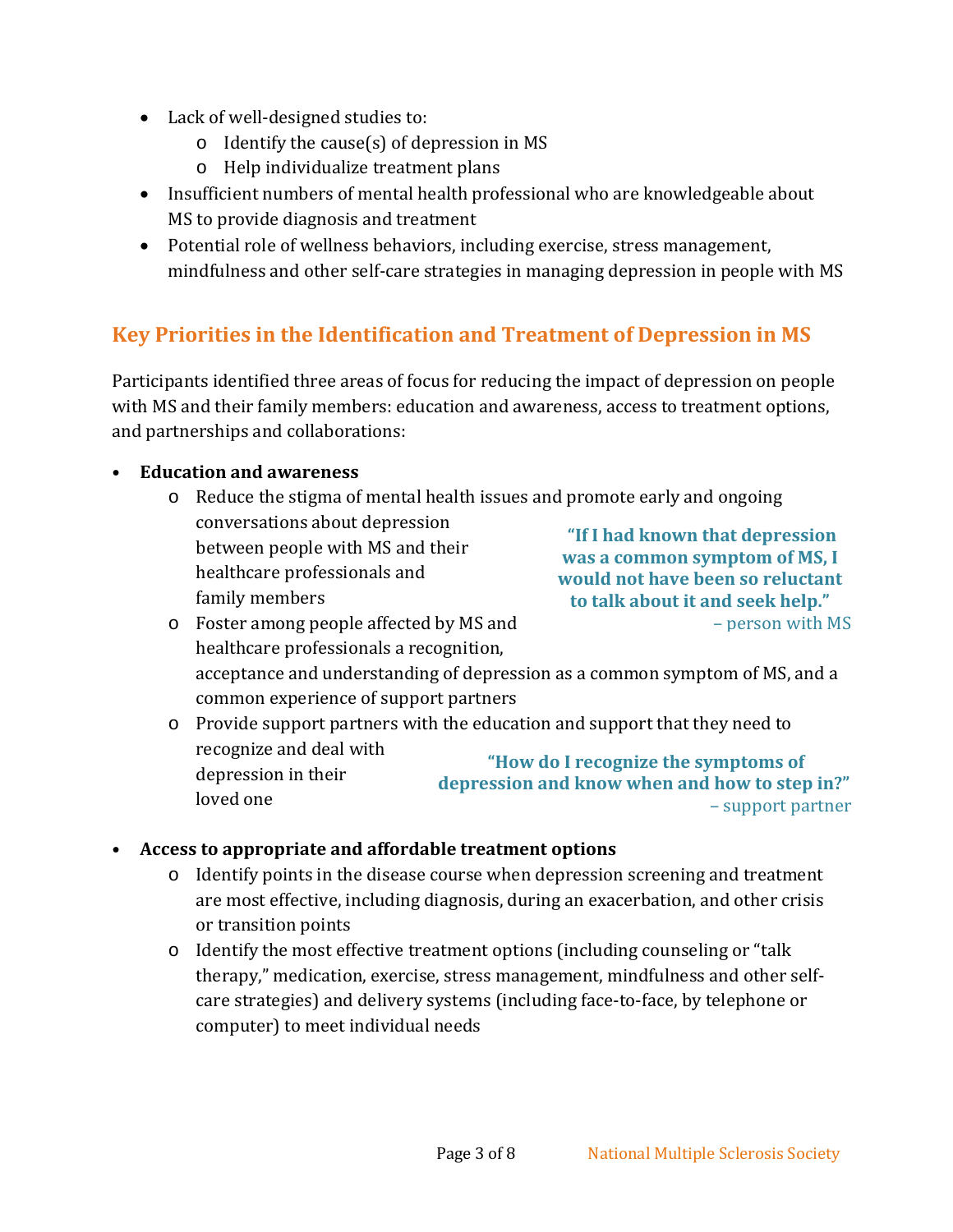- Lack of well-designed studies to:
	- o Identify the cause(s) of depression in MS
	- o Help individualize treatment plans
- Insufficient numbers of mental health professional who are knowledgeable about MS to provide diagnosis and treatment
- Potential role of wellness behaviors, including exercise, stress management, mindfulness and other self-care strategies in managing depression in people with MS

## <span id="page-2-0"></span>**Key Priorities in the Identification and Treatment of Depression in MS**

Participants identified three areas of focus for reducing the impact of depression on people with MS and their family members: education and awareness, access to treatment options, and partnerships and collaborations:

#### • **Education and awareness**

o Reduce the stigma of mental health issues and promote early and ongoing conversations about depression between people with MS and their healthcare professionals and family members **"If I had known that depression was a common symptom of MS, I would not have been so reluctant to talk about it and seek help."**

– person with MS

- o Foster among people affected by MS and healthcare professionals a recognition, acceptance and understanding of depression as a common symptom of MS, and a common experience of support partners
- o Provide support partners with the education and support that they need to recognize and deal with depression in their loved one **"How do I recognize the symptoms of depression and know when and how to step in?"**  – support partner

#### • **Access to appropriate and affordable treatment options**

- o Identify points in the disease course when depression screening and treatment are most effective, including diagnosis, during an exacerbation, and other crisis or transition points
- o Identify the most effective treatment options (including counseling or "talk therapy," medication, exercise, stress management, mindfulness and other selfcare strategies) and delivery systems (including face-to-face, by telephone or computer) to meet individual needs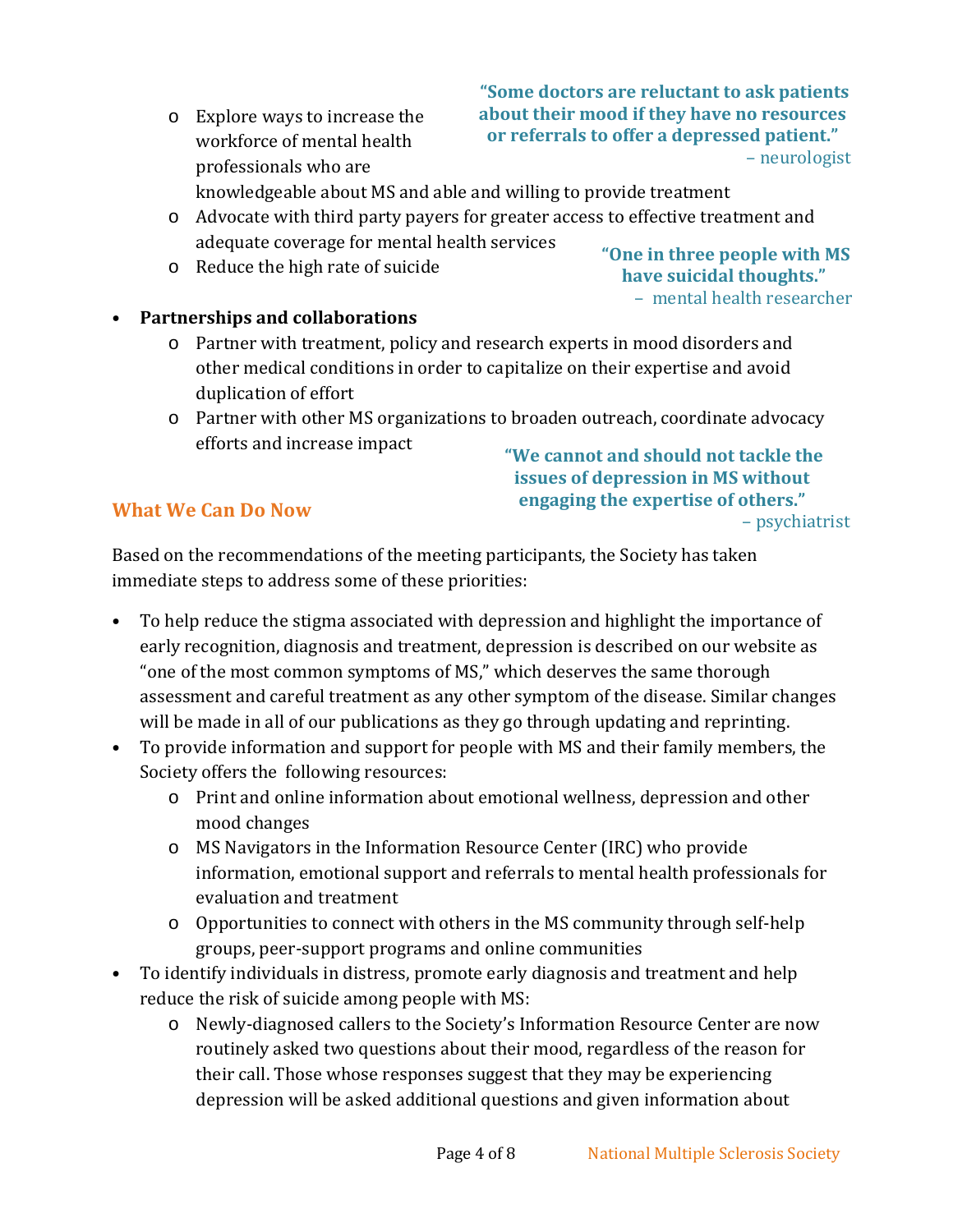o Explore ways to increase the workforce of mental health professionals who are

**"Some doctors are reluctant to ask patients about their mood if they have no resources or referrals to offer a depressed patient."**  – neurologist

knowledgeable about MS and able and willing to provide treatment

- o Advocate with third party payers for greater access to effective treatment and adequate coverage for mental health services
- o Reduce the high rate of suicide

**"One in three people with MS have suicidal thoughts."** – mental health researcher

- **Partnerships and collaborations**
	- o Partner with treatment, policy and research experts in mood disorders and other medical conditions in order to capitalize on their expertise and avoid duplication of effort
	- o Partner with other MS organizations to broaden outreach, coordinate advocacy efforts and increase impact

#### <span id="page-3-0"></span>**What We Can Do Now**

**"We cannot and should not tackle the issues of depression in MS without engaging the expertise of others."** – psychiatrist

Based on the recommendations of the meeting participants, the Society has taken immediate steps to address some of these priorities:

- To help reduce the stigma associated with depression and highlight the importance of early recognition, diagnosis and treatment, depression is described on our website as "one of the most common symptoms of MS," which deserves the same thorough assessment and careful treatment as any other symptom of the disease. Similar changes will be made in all of our publications as they go through updating and reprinting.
- To provide information and support for people with MS and their family members, the Society offers the following resources:
	- o Print and online information about emotional wellness, depression and other mood changes
	- o MS Navigators in the Information Resource Center (IRC) who provide information, emotional support and referrals to mental health professionals for evaluation and treatment
	- o Opportunities to connect with others in the MS community through self-help groups, peer-support programs and online communities
- To identify individuals in distress, promote early diagnosis and treatment and help reduce the risk of suicide among people with MS:
	- o Newly-diagnosed callers to the Society's Information Resource Center are now routinely asked two questions about their mood, regardless of the reason for their call. Those whose responses suggest that they may be experiencing depression will be asked additional questions and given information about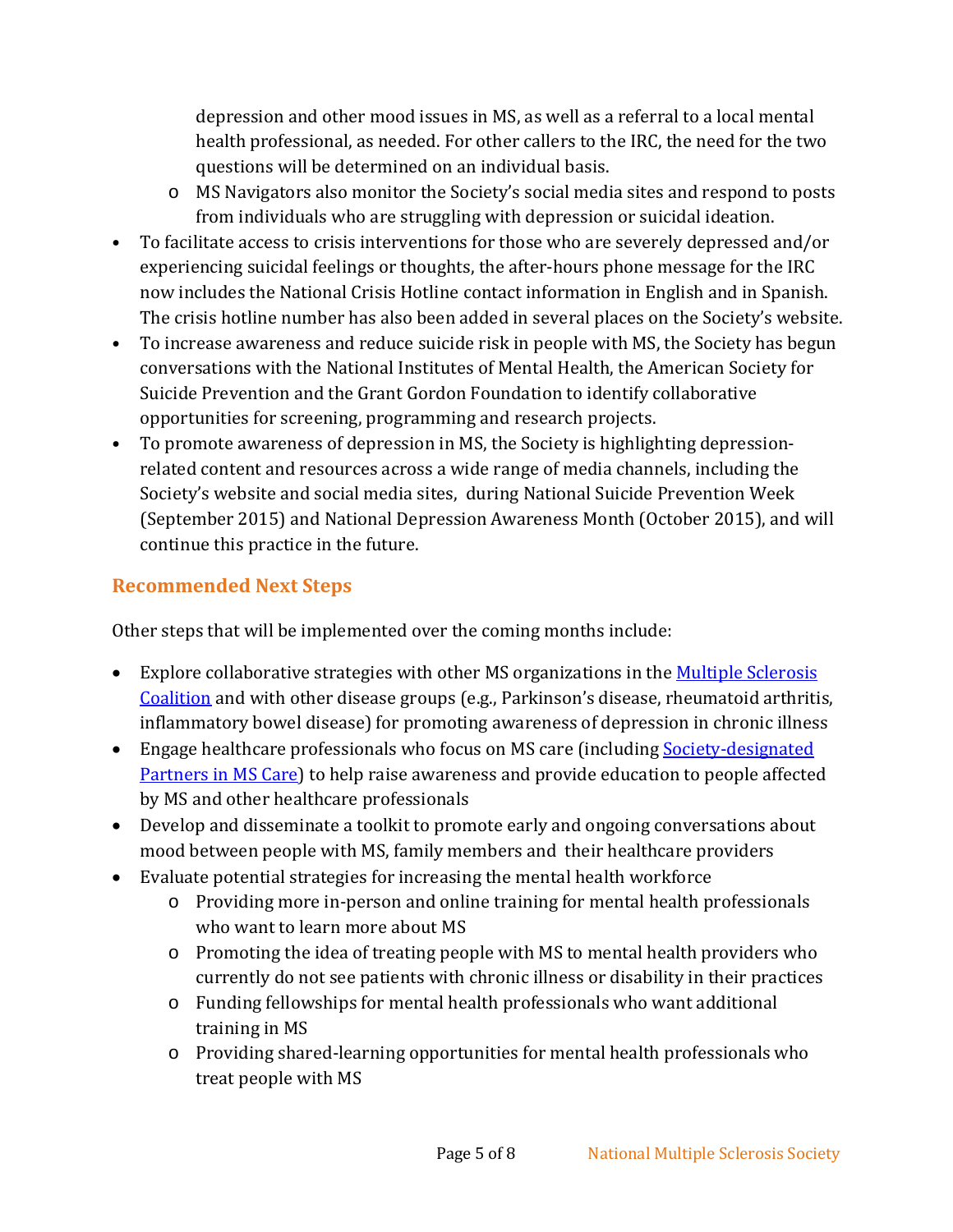depression and other mood issues in MS, as well as a referral to a local mental health professional, as needed. For other callers to the IRC, the need for the two questions will be determined on an individual basis.

- o MS Navigators also monitor the Society's social media sites and respond to posts from individuals who are struggling with depression or suicidal ideation.
- To facilitate access to crisis interventions for those who are severely depressed and/or experiencing suicidal feelings or thoughts, the after-hours phone message for the IRC now includes the National Crisis Hotline contact information in English and in Spanish. The crisis hotline number has also been added in several places on the Society's website.
- To increase awareness and reduce suicide risk in people with MS, the Society has begun conversations with the National Institutes of Mental Health, the American Society for Suicide Prevention and the Grant Gordon Foundation to identify collaborative opportunities for screening, programming and research projects.
- To promote awareness of depression in MS, the Society is highlighting depressionrelated content and resources across a wide range of media channels, including the Society's website and social media sites, during National Suicide Prevention Week (September 2015) and National Depression Awareness Month (October 2015), and will continue this practice in the future.

### <span id="page-4-0"></span>**Recommended Next Steps**

Other steps that will be implemented over the coming months include:

- Explore collaborative strategies with other MS organizations in the Multiple Sclerosis [Coalition](http://www.ms-coalition.org/) and with other disease groups (e.g., Parkinson's disease, rheumatoid arthritis, inflammatory bowel disease) for promoting awareness of depression in chronic illness
- Engage healthcare professionals who focus on MS care (including <u>Society-designated</u> [Partners in MS Care\)](http://www.nationalmssociety.org/Treating-MS/Find-an-MS-Care-Provider/Partners-in-MS-Care) to help raise awareness and provide education to people affected by MS and other healthcare professionals
- Develop and disseminate a toolkit to promote early and ongoing conversations about mood between people with MS, family members and their healthcare providers
- Evaluate potential strategies for increasing the mental health workforce
	- o Providing more in-person and online training for mental health professionals who want to learn more about MS
	- o Promoting the idea of treating people with MS to mental health providers who currently do not see patients with chronic illness or disability in their practices
	- o Funding fellowships for mental health professionals who want additional training in MS
	- o Providing shared-learning opportunities for mental health professionals who treat people with MS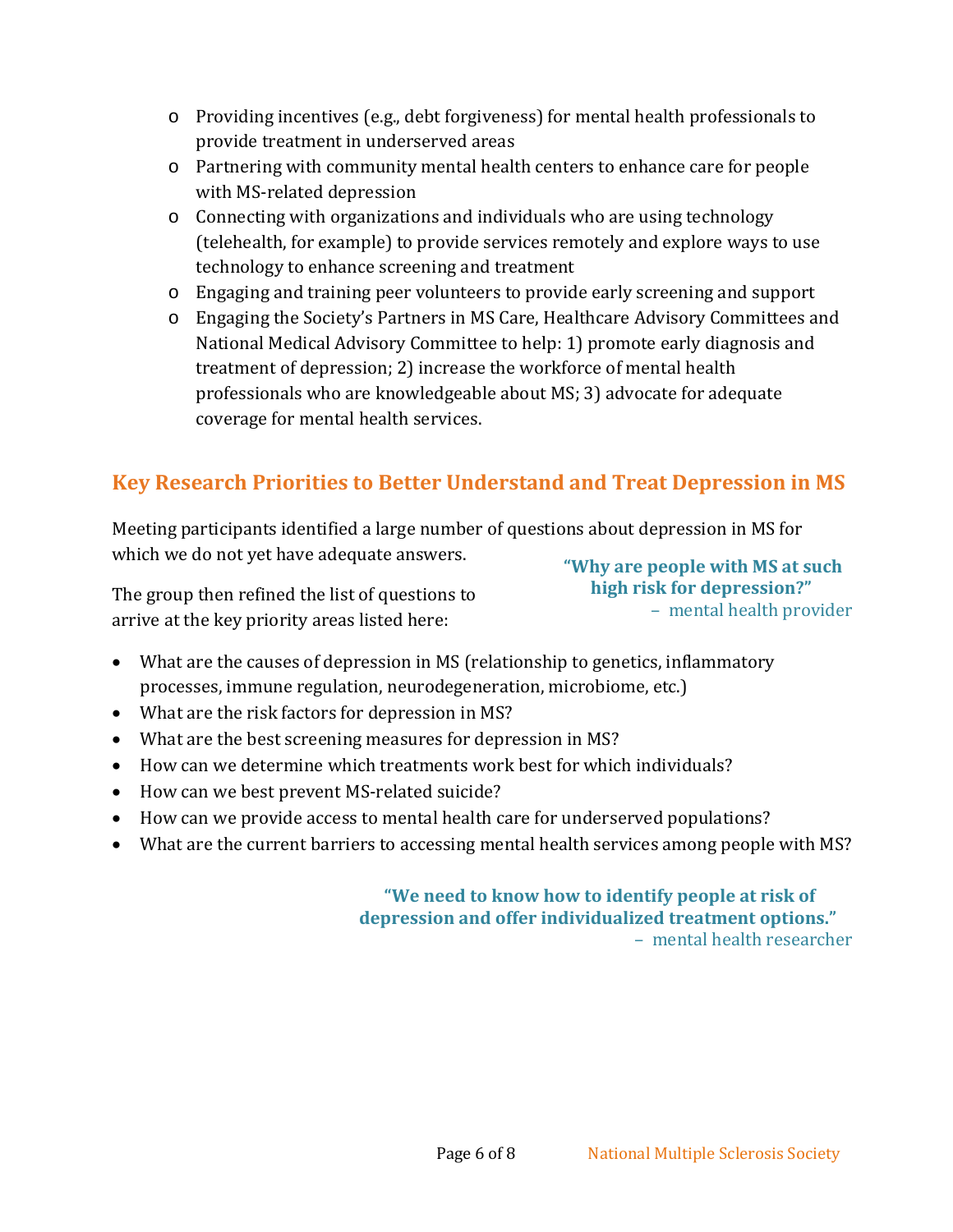- o Providing incentives (e.g., debt forgiveness) for mental health professionals to provide treatment in underserved areas
- o Partnering with community mental health centers to enhance care for people with MS-related depression
- $\circ$  Connecting with organizations and individuals who are using technology (telehealth, for example) to provide services remotely and explore ways to use technology to enhance screening and treatment
- o Engaging and training peer volunteers to provide early screening and support
- o Engaging the Society's Partners in MS Care, Healthcare Advisory Committees and National Medical Advisory Committee to help: 1) promote early diagnosis and treatment of depression; 2) increase the workforce of mental health professionals who are knowledgeable about MS; 3) advocate for adequate coverage for mental health services.

## <span id="page-5-0"></span>**Key Research Priorities to Better Understand and Treat Depression in MS**

Meeting participants identified a large number of questions about depression in MS for which we do not yet have adequate answers.

The group then refined the list of questions to arrive at the key priority areas listed here:

**"Why are people with MS at such high risk for depression?"** – mental health provider

- What are the causes of depression in MS (relationship to genetics, inflammatory processes, immune regulation, neurodegeneration, microbiome, etc.)
- What are the risk factors for depression in MS?
- What are the best screening measures for depression in MS?
- How can we determine which treatments work best for which individuals?
- How can we best prevent MS-related suicide?
- How can we provide access to mental health care for underserved populations?
- What are the current barriers to accessing mental health services among people with MS?

#### **"We need to know how to identify people at risk of depression and offer individualized treatment options."** – mental health researcher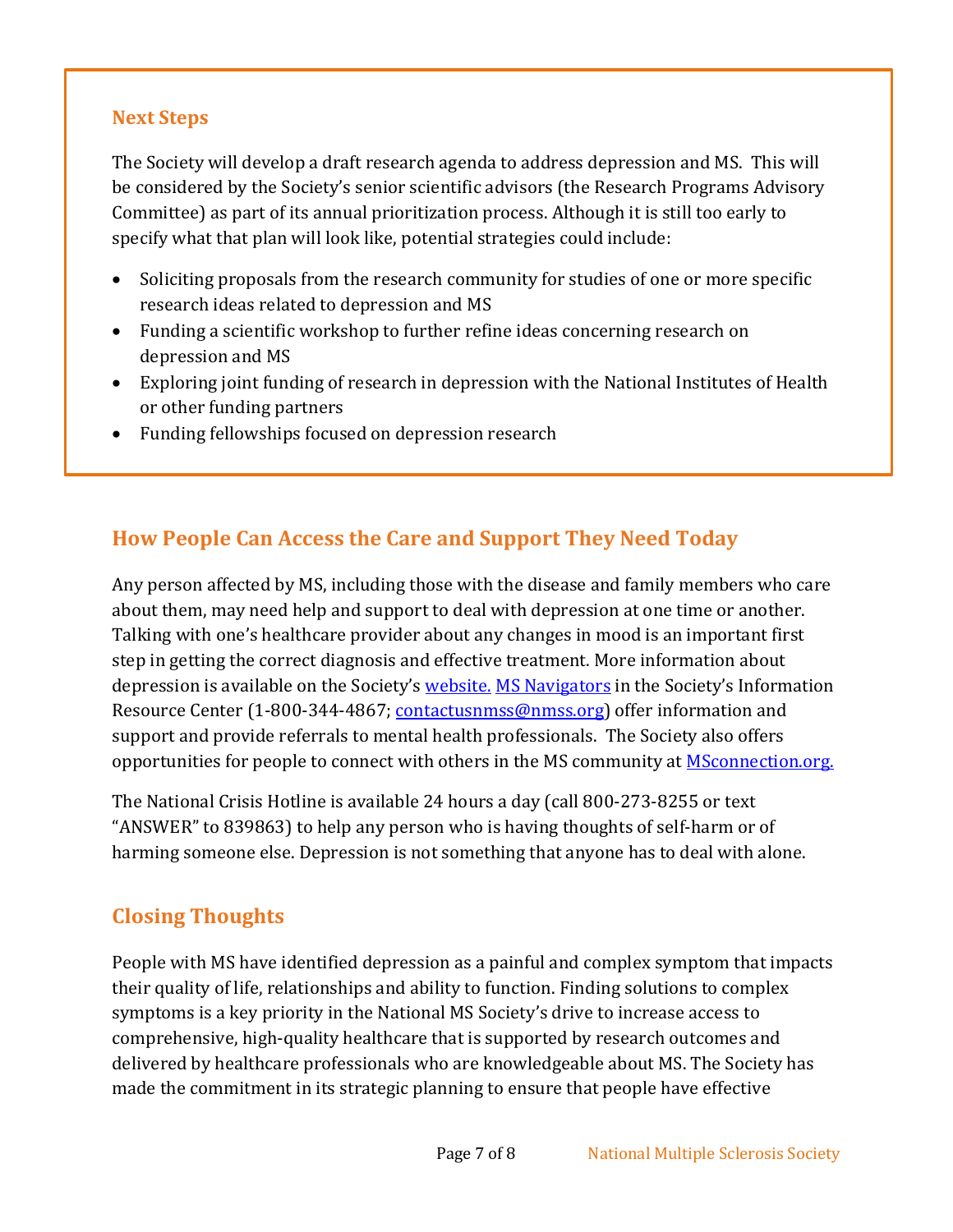### <span id="page-6-0"></span>**Next Steps**

The Society will develop a draft research agenda to address depression and MS. This will be considered by the Society's senior scientific advisors (the Research Programs Advisory Committee) as part of its annual prioritization process. Although it is still too early to specify what that plan will look like, potential strategies could include:

- Soliciting proposals from the research community for studies of one or more specific research ideas related to depression and MS
- Funding a scientific workshop to further refine ideas concerning research on depression and MS
- Exploring joint funding of research in depression with the National Institutes of Health or other funding partners
- Funding fellowships focused on depression research

## <span id="page-6-1"></span>**How People Can Access the Care and Support They Need Today**

Any person affected by MS, including those with the disease and family members who care about them, may need help and support to deal with depression at one time or another. Talking with one's healthcare provider about any changes in mood is an important first step in getting the correct diagnosis and effective treatment. More information about depression is available on the Society's [website.](http://www.nationalmssociety.org/Symptoms-Diagnosis/MS-Symptoms/Depression) [MS Navigators](mailto:contactusnmss@nmss.org) in the Society's Information Resource Center (1-800-344-4867; [contactusnmss@nmss.org\)](mailto:contactusnmss@nmss.org) offer information and support and provide referrals to mental health professionals. The Society also offers opportunities for people to connect with others in the MS community at **MSconnection.org**.

The National Crisis Hotline is available 24 hours a day (call 800-273-8255 or text "ANSWER" to 839863) to help any person who is having thoughts of self-harm or of harming someone else. Depression is not something that anyone has to deal with alone.

## <span id="page-6-2"></span>**Closing Thoughts**

People with MS have identified depression as a painful and complex symptom that impacts their quality of life, relationships and ability to function. Finding solutions to complex symptoms is a key priority in the National MS Society's drive to increase access to comprehensive, high-quality healthcare that is supported by research outcomes and delivered by healthcare professionals who are knowledgeable about MS. The Society has made the commitment in its strategic planning to ensure that people have effective